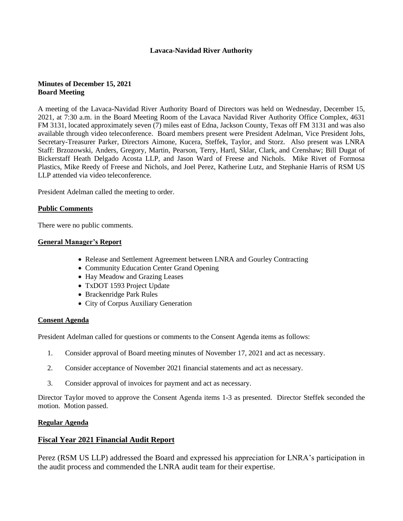## **Lavaca-Navidad River Authority**

# **Minutes of December 15, 2021 Board Meeting**

A meeting of the Lavaca-Navidad River Authority Board of Directors was held on Wednesday, December 15, 2021, at 7:30 a.m. in the Board Meeting Room of the Lavaca Navidad River Authority Office Complex, 4631 FM 3131, located approximately seven (7) miles east of Edna, Jackson County, Texas off FM 3131 and was also available through video teleconference. Board members present were President Adelman, Vice President Johs, Secretary-Treasurer Parker, Directors Aimone, Kucera, Steffek, Taylor, and Storz. Also present was LNRA Staff: Brzozowski, Anders, Gregory, Martin, Pearson, Terry, Hartl, Sklar, Clark, and Crenshaw; Bill Dugat of Bickerstaff Heath Delgado Acosta LLP, and Jason Ward of Freese and Nichols. Mike Rivet of Formosa Plastics, Mike Reedy of Freese and Nichols, and Joel Perez, Katherine Lutz, and Stephanie Harris of RSM US LLP attended via video teleconference.

President Adelman called the meeting to order.

## **Public Comments**

There were no public comments.

### **General Manager's Report**

- Release and Settlement Agreement between LNRA and Gourley Contracting
- Community Education Center Grand Opening
- Hay Meadow and Grazing Leases
- TxDOT 1593 Project Update
- Brackenridge Park Rules
- City of Corpus Auxiliary Generation

## **Consent Agenda**

President Adelman called for questions or comments to the Consent Agenda items as follows:

- 1. Consider approval of Board meeting minutes of November 17, 2021 and act as necessary.
- 2. Consider acceptance of November 2021 financial statements and act as necessary.
- 3. Consider approval of invoices for payment and act as necessary.

Director Taylor moved to approve the Consent Agenda items 1-3 as presented. Director Steffek seconded the motion. Motion passed.

#### **Regular Agenda**

## **Fiscal Year 2021 Financial Audit Report**

Perez (RSM US LLP) addressed the Board and expressed his appreciation for LNRA's participation in the audit process and commended the LNRA audit team for their expertise.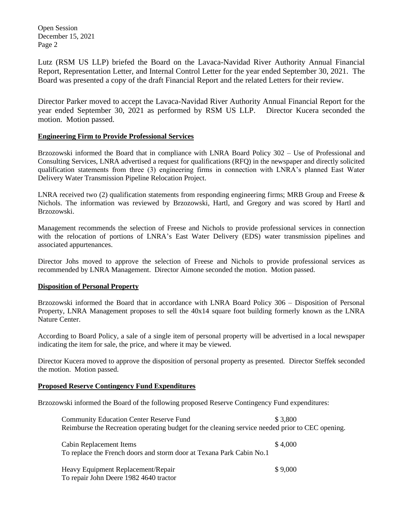Open Session December 15, 2021 Page 2

Lutz (RSM US LLP) briefed the Board on the Lavaca-Navidad River Authority Annual Financial Report, Representation Letter, and Internal Control Letter for the year ended September 30, 2021. The Board was presented a copy of the draft Financial Report and the related Letters for their review.

Director Parker moved to accept the Lavaca-Navidad River Authority Annual Financial Report for the year ended September 30, 2021 as performed by RSM US LLP. Director Kucera seconded the motion. Motion passed.

## **Engineering Firm to Provide Professional Services**

Brzozowski informed the Board that in compliance with LNRA Board Policy 302 – Use of Professional and Consulting Services, LNRA advertised a request for qualifications (RFQ) in the newspaper and directly solicited qualification statements from three (3) engineering firms in connection with LNRA's planned East Water Delivery Water Transmission Pipeline Relocation Project.

LNRA received two (2) qualification statements from responding engineering firms; MRB Group and Freese  $\&$ Nichols. The information was reviewed by Brzozowski, Hartl, and Gregory and was scored by Hartl and Brzozowski.

Management recommends the selection of Freese and Nichols to provide professional services in connection with the relocation of portions of LNRA's East Water Delivery (EDS) water transmission pipelines and associated appurtenances.

Director Johs moved to approve the selection of Freese and Nichols to provide professional services as recommended by LNRA Management. Director Aimone seconded the motion. Motion passed.

## **Disposition of Personal Property**

Brzozowski informed the Board that in accordance with LNRA Board Policy 306 – Disposition of Personal Property, LNRA Management proposes to sell the 40x14 square foot building formerly known as the LNRA Nature Center.

According to Board Policy, a sale of a single item of personal property will be advertised in a local newspaper indicating the item for sale, the price, and where it may be viewed.

Director Kucera moved to approve the disposition of personal property as presented. Director Steffek seconded the motion. Motion passed.

## **Proposed Reserve Contingency Fund Expenditures**

Brzozowski informed the Board of the following proposed Reserve Contingency Fund expenditures:

| <b>Community Education Center Reserve Fund</b>                                                  | \$3.800 |
|-------------------------------------------------------------------------------------------------|---------|
| Reimburse the Recreation operating budget for the cleaning service needed prior to CEC opening. |         |
|                                                                                                 |         |
| Cabin Replacement Items                                                                         | \$4,000 |
| To replace the French doors and storm door at Texana Park Cabin No.1                            |         |
|                                                                                                 |         |
| Heavy Equipment Replacement/Repair                                                              | \$9,000 |
| To repair John Deere 1982 4640 tractor                                                          |         |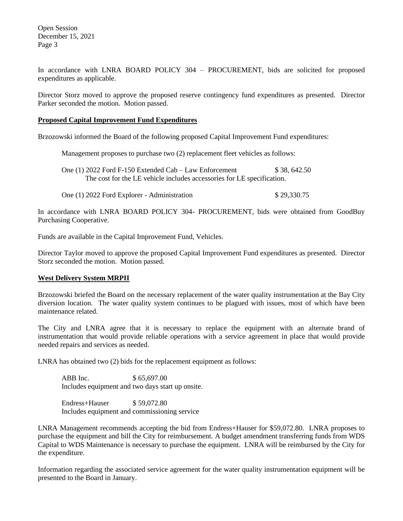Open Session December 15, 2021 Page 3

In accordance with LNRA BOARD POLICY 304 – PROCUREMENT, bids are solicited for proposed expenditures as applicable.

Director Storz moved to approve the proposed reserve contingency fund expenditures as presented. Director Parker seconded the motion. Motion passed.

#### **Proposed Capital Improvement Fund Expenditures**

Brzozowski informed the Board of the following proposed Capital Improvement Fund expenditures:

Management proposes to purchase two (2) replacement fleet vehicles as follows:

One (1) 2022 Ford F-150 Extended Cab – Law Enforcement \$ 38, 642.50 The cost for the LE vehicle includes accessories for LE specification.

One (1) 2022 Ford Explorer - Administration \$ 29,330.75

In accordance with LNRA BOARD POLICY 304- PROCUREMENT, bids were obtained from GoodBuy Purchasing Cooperative.

Funds are available in the Capital Improvement Fund, Vehicles.

Director Taylor moved to approve the proposed Capital Improvement Fund expenditures as presented. Director Storz seconded the motion. Motion passed.

#### **West Delivery System MRPII**

Brzozowski briefed the Board on the necessary replacement of the water quality instrumentation at the Bay City diversion location. The water quality system continues to be plagued with issues, most of which have been maintenance related.

The City and LNRA agree that it is necessary to replace the equipment with an alternate brand of instrumentation that would provide reliable operations with a service agreement in place that would provide needed repairs and services as needed.

LNRA has obtained two (2) bids for the replacement equipment as follows:

ABB Inc. \$65,697.00 Includes equipment and two days start up onsite.

Endress+Hauser \$ 59,072.80 Includes equipment and commissioning service

LNRA Management recommends accepting the bid from Endress+Hauser for \$59,072.80. LNRA proposes to purchase the equipment and bill the City for reimbursement. A budget amendment transferring funds from WDS Capital to WDS Maintenance is necessary to purchase the equipment. LNRA will be reimbursed by the City for the expenditure.

Information regarding the associated service agreement for the water quality instrumentation equipment will be presented to the Board in January.